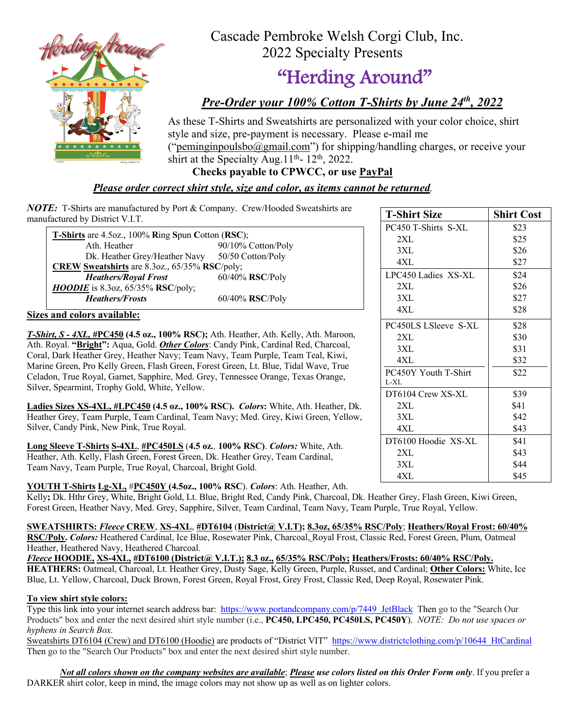

 Cascade Pembroke Welsh Corgi Club, Inc. 2022 Specialty Presents

# "Herding Around"

# *Pre-Order your 100% Cotton T-Shirts by June 24th, 2022*

As these T-Shirts and Sweatshirts are personalized with your color choice, shirt style and size, pre-payment is necessary. Please e-mail me ("peminginpoulsbo $@g$ mail.com") for shipping/handling charges, or receive your

shirt at the Specialty Aug.  $11<sup>th</sup>$ -  $12<sup>th</sup>$ , 2022. **Checks payable to CPWCC, or use PayPal**

### *Please order correct shirt style, size and color, as items cannot be returned.*

*NOTE:* T-Shirts are manufactured by Port & Company. Crew/Hooded Sweatshirts are manufactured by District V.I.T.

| <b>T-Shirts</b> are 4.5oz., 100% Ring Spun Cotton (RSC); |                    |  |  |  |  |  |  |
|----------------------------------------------------------|--------------------|--|--|--|--|--|--|
| Ath. Heather                                             | 90/10% Cotton/Poly |  |  |  |  |  |  |
| Dk. Heather Grey/Heather Navy 50/50 Cotton/Poly          |                    |  |  |  |  |  |  |
| CREW Sweatshirts are 8.3oz., 65/35% RSC/poly;            |                    |  |  |  |  |  |  |
| <b>Heathers/Royal Frost</b>                              | $60/40\%$ RSC/Poly |  |  |  |  |  |  |
| <b>HOODIE</b> is 8.3oz, $65/35%$ RSC/poly;               |                    |  |  |  |  |  |  |
| <b>Heathers/Frosts</b>                                   | 60/40% RSC/Poly    |  |  |  |  |  |  |

#### **Sizes and colors available:**

*T-Shirt, S - 4XL, #***PC450 (4.5 oz., 100% RSC);** Ath. Heather, Ath. Kelly, Ath. Maroon, Ath. Royal. **"Bright":** Aqua, Gold. *Other Colors*: Candy Pink, Cardinal Red, Charcoal, Coral, Dark Heather Grey, Heather Navy; Team Navy, Team Purple, Team Teal, Kiwi, Marine Green, Pro Kelly Green, Flash Green, Forest Green, Lt. Blue, Tidal Wave, True Celadon, True Royal, Garnet, Sapphire, Med. Grey, Tennessee Orange, Texas Orange, Silver, Spearmint, Trophy Gold, White, Yellow.

**Ladies Sizes XS-4XL, #LPC450 (4.5 oz., 100% RSC).** *Colors***:** White, Ath. Heather, Dk. Heather Grey, Team Purple, Team Cardinal, Team Navy; Med. Grey, Kiwi Green, Yellow, Silver, Candy Pink, New Pink, True Royal.

**Long Sleeve T-Shirts S-4XL**, **#PC450LS** (**4.5 oz***.,* **100% RSC)**. *Colors:* White, Ath. Heather, Ath. Kelly, Flash Green, Forest Green, Dk. Heather Grey, Team Cardinal, Team Navy, Team Purple, True Royal, Charcoal, Bright Gold.

#### **YOUTH T-Shirts Lg-XL,** #**PC450Y (4.5oz., 100% RSC**). *Colors*: Ath. Heather, Ath.

Kelly**;** Dk. Hthr Grey, White, Bright Gold, Lt. Blue, Bright Red, Candy Pink, Charcoal, Dk. Heather Grey, Flash Green, Kiwi Green, Forest Green, Heather Navy, Med. Grey, Sapphire, Silver, Team Cardinal, Team Navy, Team Purple, True Royal, Yellow.

#### **SWEATSHIRTS:** *Fleece* **CREW**, **XS-4XL**, **#DT6104** (**District@ V.I.T); 8.3oz, 65/35% RSC/Poly**; **Heathers/Royal Frost: 60/40%**

**RSC/Poly.** *Colors:* Heathered Cardinal, Ice Blue, Rosewater Pink, Charcoal, Royal Frost, Classic Red, Forest Green, Plum, Oatmeal Heather, Heathered Navy, Heathered Charcoal.

*Fleece* **HOODIE, XS-4XL, #DT6100 (District@ V.I.T.); 8.3 oz., 65/35% RSC/Poly; Heathers/Frosts: 60/40% RSC/Poly. HEATHERS:** Oatmeal, Charcoal, Lt. Heather Grey, Dusty Sage, Kelly Green, Purple, Russet, and Cardinal; **Other Colors:** White, Ice Blue, Lt. Yellow, Charcoal, Duck Brown, Forest Green, Royal Frost, Grey Frost, Classic Red, Deep Royal, Rosewater Pink.

#### **To view shirt style colors:**

Type this link into your internet search address bar: https://www.portandcompany.com/p/7449 JetBlack Then go to the "Search Our Products" box and enter the next desired shirt style number (i.e., **PC450, LPC450, PC450LS, PC450Y**). *NOTE: Do not use spaces or hyphens in Search Box.*

Sweatshirts DT6104 (Crew) and DT6100 (Hoodie) are products of "District VIT" https://www.districtclothing.com/p/10644\_HtCardinal Then go to the "Search Our Products" box and enter the next desired shirt style number.

*Not all colors shown on the company websites are available*; *Please use colors listed on this Order Form only*. If you prefer a DARKER shirt color, keep in mind, the image colors may not show up as well as on lighter colors.

| <b>T-Shirt Size</b>  | <b>Shirt Cost</b> |
|----------------------|-------------------|
| PC450 T-Shirts S-XL  | \$23              |
| 2XL                  | \$25              |
| 3XL                  | \$26              |
| 4XL                  | \$27              |
| LPC450 Ladies XS-XL  | \$24              |
| 2XL                  | \$26              |
| 3XL                  | \$27              |
| 4XL                  | \$28              |
| PC450LS LSleeve S-XL | \$28              |
| 2XL                  | \$30              |
| 3XL                  | \$31              |
| 4XL                  | \$32              |
| PC450Y Youth T-Shirt | \$22              |
| $L-XL$               |                   |
| DT6104 Crew XS-XL    | \$39              |
| 2XL                  | \$41              |
| 3XL                  | \$42              |
| 4XL                  | \$43              |
| DT6100 Hoodie XS-XL  | \$41              |
| 2XL                  | \$43              |
| 3XL                  | \$44              |
| 4XL                  | \$45              |